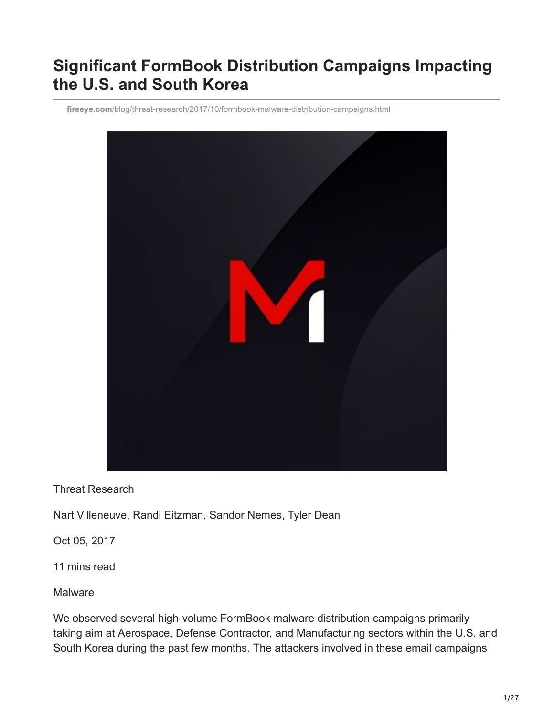# **Significant FormBook Distribution Campaigns Impacting the U.S. and South Korea**

**fireeye.com**[/blog/threat-research/2017/10/formbook-malware-distribution-campaigns.html](https://www.fireeye.com/blog/threat-research/2017/10/formbook-malware-distribution-campaigns.html)



Threat Research

Nart Villeneuve, Randi Eitzman, Sandor Nemes, Tyler Dean

Oct 05, 2017

11 mins read

Malware

We observed several high-volume FormBook malware distribution campaigns primarily taking aim at Aerospace, Defense Contractor, and Manufacturing sectors within the U.S. and South Korea during the past few months. The attackers involved in these email campaigns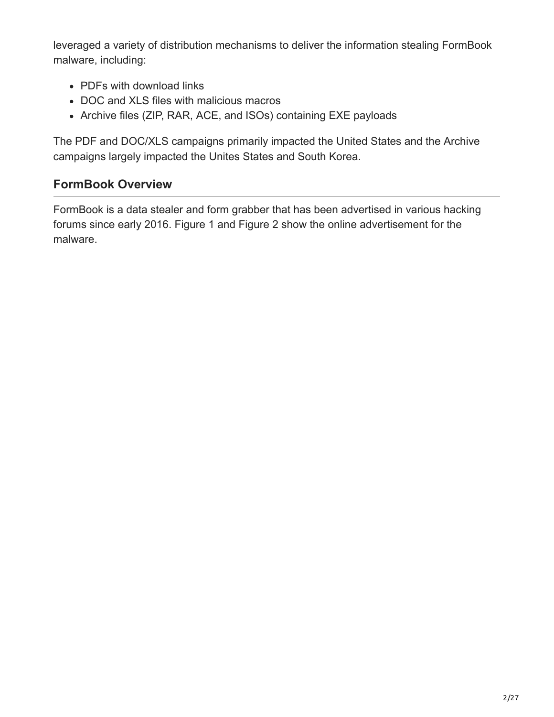leveraged a variety of distribution mechanisms to deliver the information stealing FormBook malware, including:

- PDFs with download links
- DOC and XLS files with malicious macros
- Archive files (ZIP, RAR, ACE, and ISOs) containing EXE payloads

The PDF and DOC/XLS campaigns primarily impacted the United States and the Archive campaigns largely impacted the Unites States and South Korea.

# **FormBook Overview**

FormBook is a data stealer and form grabber that has been advertised in various hacking forums since early 2016. Figure 1 and Figure 2 show the online advertisement for the malware.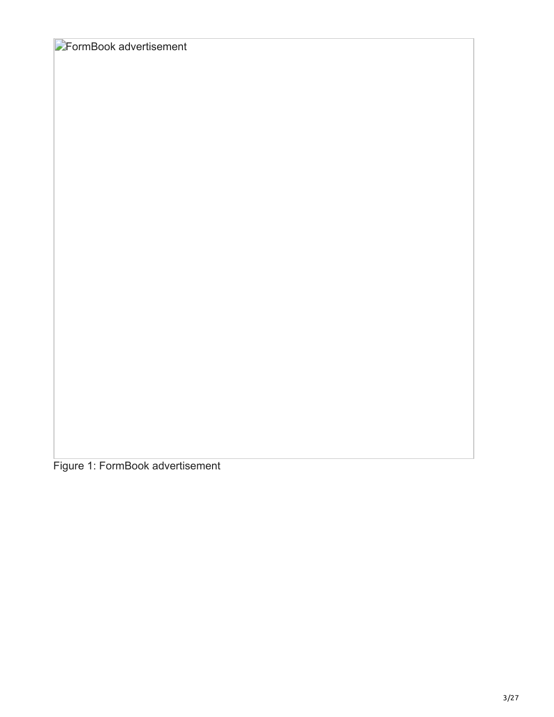**FormBook advertisement** 

Figure 1: FormBook advertisement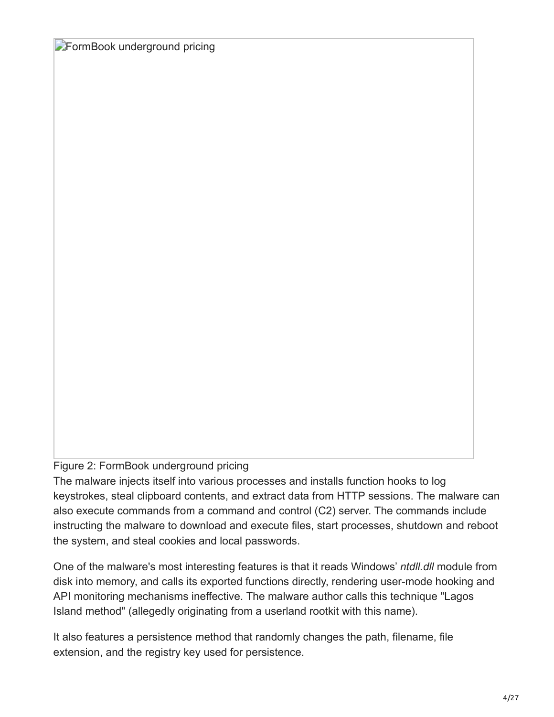**FormBook underground pricing** 

## Figure 2: FormBook underground pricing

The malware injects itself into various processes and installs function hooks to log keystrokes, steal clipboard contents, and extract data from HTTP sessions. The malware can also execute commands from a command and control (C2) server. The commands include instructing the malware to download and execute files, start processes, shutdown and reboot the system, and steal cookies and local passwords.

One of the malware's most interesting features is that it reads Windows' *ntdll.dll* module from disk into memory, and calls its exported functions directly, rendering user-mode hooking and API monitoring mechanisms ineffective. The malware author calls this technique "Lagos Island method" (allegedly originating from a userland rootkit with this name).

It also features a persistence method that randomly changes the path, filename, file extension, and the registry key used for persistence.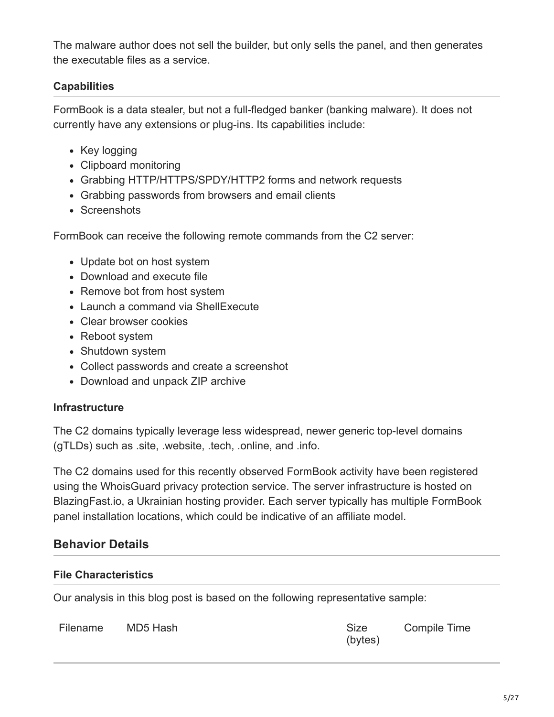The malware author does not sell the builder, but only sells the panel, and then generates the executable files as a service.

## **Capabilities**

FormBook is a data stealer, but not a full-fledged banker (banking malware). It does not currently have any extensions or plug-ins. Its capabilities include:

- Key logging
- Clipboard monitoring
- Grabbing HTTP/HTTPS/SPDY/HTTP2 forms and network requests
- Grabbing passwords from browsers and email clients
- Screenshots

FormBook can receive the following remote commands from the C2 server:

- Update bot on host system
- Download and execute file
- Remove bot from host system
- Launch a command via ShellExecute
- Clear browser cookies
- Reboot system
- Shutdown system
- Collect passwords and create a screenshot
- Download and unpack ZIP archive

#### **Infrastructure**

The C2 domains typically leverage less widespread, newer generic top-level domains (gTLDs) such as .site, .website, .tech, .online, and .info.

The C2 domains used for this recently observed FormBook activity have been registered using the WhoisGuard privacy protection service. The server infrastructure is hosted on BlazingFast.io, a Ukrainian hosting provider. Each server typically has multiple FormBook panel installation locations, which could be indicative of an affiliate model.

# **Behavior Details**

#### **File Characteristics**

Our analysis in this blog post is based on the following representative sample:

Filename MD5 Hash Size

(bytes) Compile Time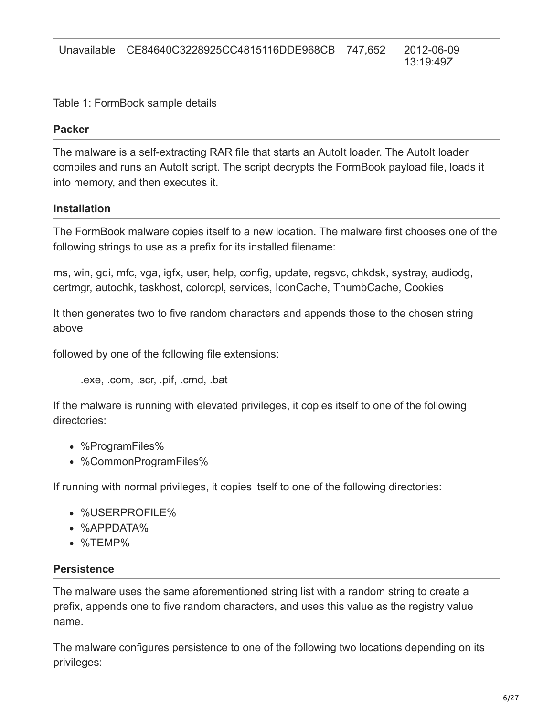#### Table 1: FormBook sample details

#### **Packer**

The malware is a self-extracting RAR file that starts an AutoIt loader. The AutoIt loader compiles and runs an AutoIt script. The script decrypts the FormBook payload file, loads it into memory, and then executes it.

## **Installation**

The FormBook malware copies itself to a new location. The malware first chooses one of the following strings to use as a prefix for its installed filename:

ms, win, gdi, mfc, vga, igfx, user, help, config, update, regsvc, chkdsk, systray, audiodg, certmgr, autochk, taskhost, colorcpl, services, IconCache, ThumbCache, Cookies

It then generates two to five random characters and appends those to the chosen string above

followed by one of the following file extensions:

.exe, .com, .scr, .pif, .cmd, .bat

If the malware is running with elevated privileges, it copies itself to one of the following directories:

- %ProgramFiles%
- %CommonProgramFiles%

If running with normal privileges, it copies itself to one of the following directories:

- %USERPROFILE%
- %APPDATA%
- %TEMP%

## **Persistence**

The malware uses the same aforementioned string list with a random string to create a prefix, appends one to five random characters, and uses this value as the registry value name.

The malware configures persistence to one of the following two locations depending on its privileges: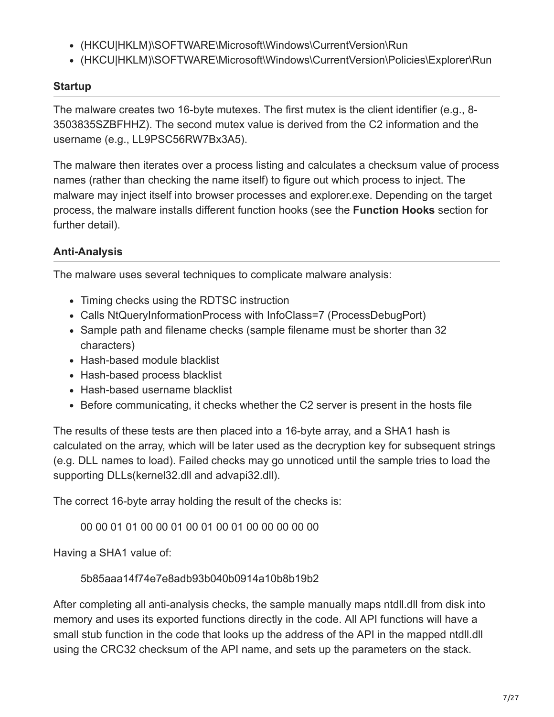- (HKCU|HKLM)\SOFTWARE\Microsoft\Windows\CurrentVersion\Run
- (HKCU|HKLM)\SOFTWARE\Microsoft\Windows\CurrentVersion\Policies\Explorer\Run

## **Startup**

The malware creates two 16-byte mutexes. The first mutex is the client identifier (e.g., 8- 3503835SZBFHHZ). The second mutex value is derived from the C2 information and the username (e.g., LL9PSC56RW7Bx3A5).

The malware then iterates over a process listing and calculates a checksum value of process names (rather than checking the name itself) to figure out which process to inject. The malware may inject itself into browser processes and explorer.exe. Depending on the target process, the malware installs different function hooks (see the **Function Hooks** section for further detail).

# **Anti-Analysis**

The malware uses several techniques to complicate malware analysis:

- Timing checks using the RDTSC instruction
- Calls NtQueryInformationProcess with InfoClass=7 (ProcessDebugPort)
- Sample path and filename checks (sample filename must be shorter than 32 characters)
- Hash-based module blacklist
- Hash-based process blacklist
- Hash-based username blacklist
- Before communicating, it checks whether the C2 server is present in the hosts file

The results of these tests are then placed into a 16-byte array, and a SHA1 hash is calculated on the array, which will be later used as the decryption key for subsequent strings (e.g. DLL names to load). Failed checks may go unnoticed until the sample tries to load the supporting DLLs(kernel32.dll and advapi32.dll).

The correct 16-byte array holding the result of the checks is:

00 00 01 01 00 00 01 00 01 00 01 00 00 00 00 00

Having a SHA1 value of:

5b85aaa14f74e7e8adb93b040b0914a10b8b19b2

After completing all anti-analysis checks, the sample manually maps ntdll.dll from disk into memory and uses its exported functions directly in the code. All API functions will have a small stub function in the code that looks up the address of the API in the mapped ntdll.dll using the CRC32 checksum of the API name, and sets up the parameters on the stack.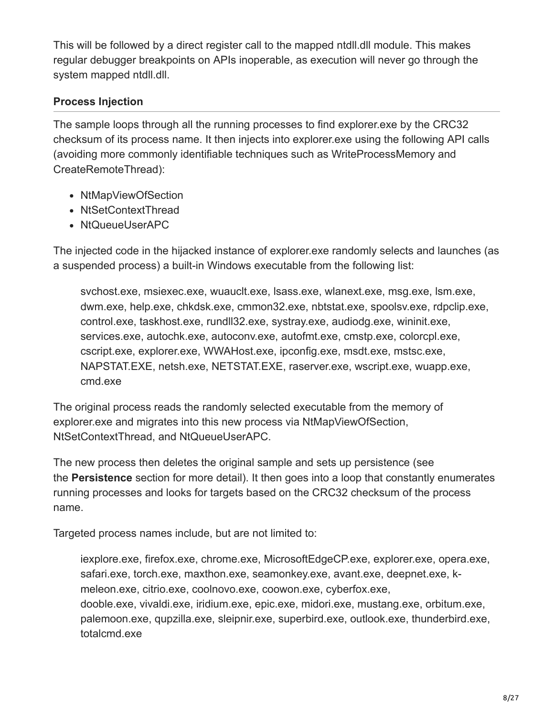This will be followed by a direct register call to the mapped ntdll.dll module. This makes regular debugger breakpoints on APIs inoperable, as execution will never go through the system mapped ntdll.dll.

## **Process Injection**

The sample loops through all the running processes to find explorer.exe by the CRC32 checksum of its process name. It then injects into explorer.exe using the following API calls (avoiding more commonly identifiable techniques such as WriteProcessMemory and CreateRemoteThread):

- NtMapViewOfSection
- NtSetContextThread
- NtQueueUserAPC

The injected code in the hijacked instance of explorer.exe randomly selects and launches (as a suspended process) a built-in Windows executable from the following list:

svchost.exe, msiexec.exe, wuauclt.exe, lsass.exe, wlanext.exe, msg.exe, lsm.exe, dwm.exe, help.exe, chkdsk.exe, cmmon32.exe, nbtstat.exe, spoolsv.exe, rdpclip.exe, control.exe, taskhost.exe, rundll32.exe, systray.exe, audiodg.exe, wininit.exe, services.exe, autochk.exe, autoconv.exe, autofmt.exe, cmstp.exe, colorcpl.exe, cscript.exe, explorer.exe, WWAHost.exe, ipconfig.exe, msdt.exe, mstsc.exe, NAPSTAT.EXE, netsh.exe, NETSTAT.EXE, raserver.exe, wscript.exe, wuapp.exe, cmd.exe

The original process reads the randomly selected executable from the memory of explorer.exe and migrates into this new process via NtMapViewOfSection, NtSetContextThread, and NtQueueUserAPC.

The new process then deletes the original sample and sets up persistence (see the **Persistence** section for more detail). It then goes into a loop that constantly enumerates running processes and looks for targets based on the CRC32 checksum of the process name.

Targeted process names include, but are not limited to:

iexplore.exe, firefox.exe, chrome.exe, MicrosoftEdgeCP.exe, explorer.exe, opera.exe, safari.exe, torch.exe, maxthon.exe, seamonkey.exe, avant.exe, deepnet.exe, kmeleon.exe, citrio.exe, coolnovo.exe, coowon.exe, cyberfox.exe, dooble.exe, vivaldi.exe, iridium.exe, epic.exe, midori.exe, mustang.exe, orbitum.exe, palemoon.exe, qupzilla.exe, sleipnir.exe, superbird.exe, outlook.exe, thunderbird.exe, totalcmd.exe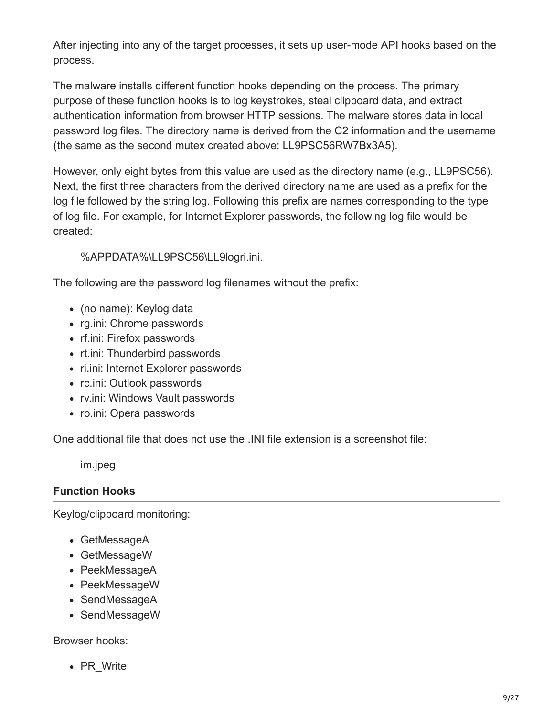After injecting into any of the target processes, it sets up user-mode API hooks based on the process.

The malware installs different function hooks depending on the process. The primary purpose of these function hooks is to log keystrokes, steal clipboard data, and extract authentication information from browser HTTP sessions. The malware stores data in local password log files. The directory name is derived from the C2 information and the username (the same as the second mutex created above: LL9PSC56RW7Bx3A5).

However, only eight bytes from this value are used as the directory name (e.g., LL9PSC56). Next, the first three characters from the derived directory name are used as a prefix for the log file followed by the string log. Following this prefix are names corresponding to the type of log file. For example, for Internet Explorer passwords, the following log file would be created:

%APPDATA%\LL9PSC56\LL9logri.ini.

The following are the password log filenames without the prefix:

- (no name): Keylog data
- rg.ini: Chrome passwords
- rf.ini: Firefox passwords
- rt.ini: Thunderbird passwords
- ri.ini: Internet Explorer passwords
- rc.ini: Outlook passwords
- rv.ini: Windows Vault passwords
- ro.ini: Opera passwords

One additional file that does not use the .INI file extension is a screenshot file:

im.jpeg

## **Function Hooks**

Keylog/clipboard monitoring:

- GetMessageA
- GetMessageW
- PeekMessageA
- PeekMessageW
- SendMessageA
- SendMessageW

Browser hooks:

• PR\_Write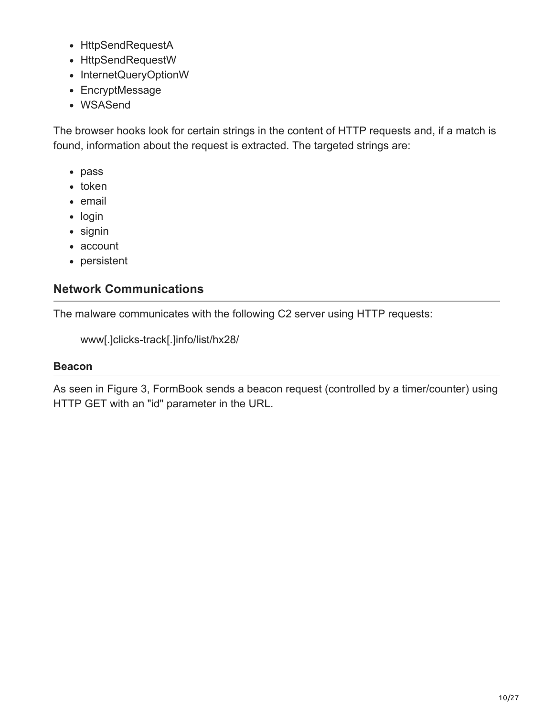- HttpSendRequestA
- HttpSendRequestW
- InternetQueryOptionW
- EncryptMessage
- WSASend

The browser hooks look for certain strings in the content of HTTP requests and, if a match is found, information about the request is extracted. The targeted strings are:

- pass
- token
- email
- $\bullet$  login
- signin
- account
- persistent

# **Network Communications**

The malware communicates with the following C2 server using HTTP requests:

www[.]clicks-track[.]info/list/hx28/

#### **Beacon**

As seen in Figure 3, FormBook sends a beacon request (controlled by a timer/counter) using HTTP GET with an "id" parameter in the URL.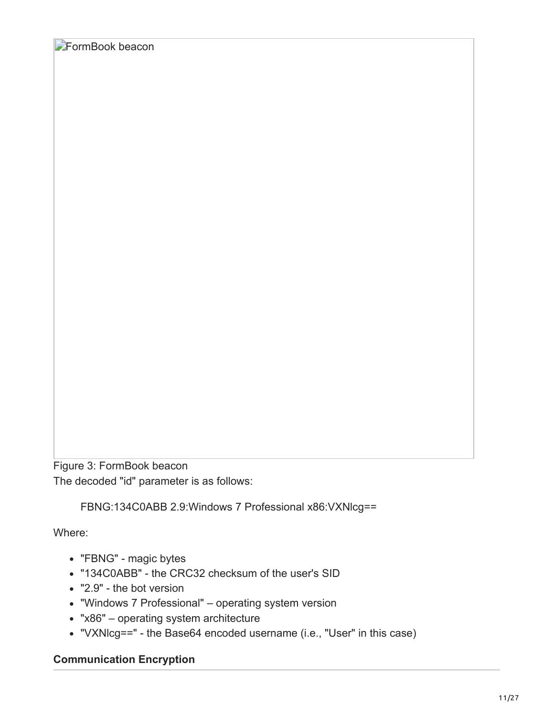Figure 3: FormBook beacon The decoded "id" parameter is as follows:

FBNG:134C0ABB 2.9:Windows 7 Professional x86:VXNlcg==

Where:

- "FBNG" magic bytes
- "134C0ABB" the CRC32 checksum of the user's SID
- "2.9" the bot version
- "Windows 7 Professional" operating system version
- "x86" operating system architecture
- "VXNlcg==" the Base64 encoded username (i.e., "User" in this case)

## **Communication Encryption**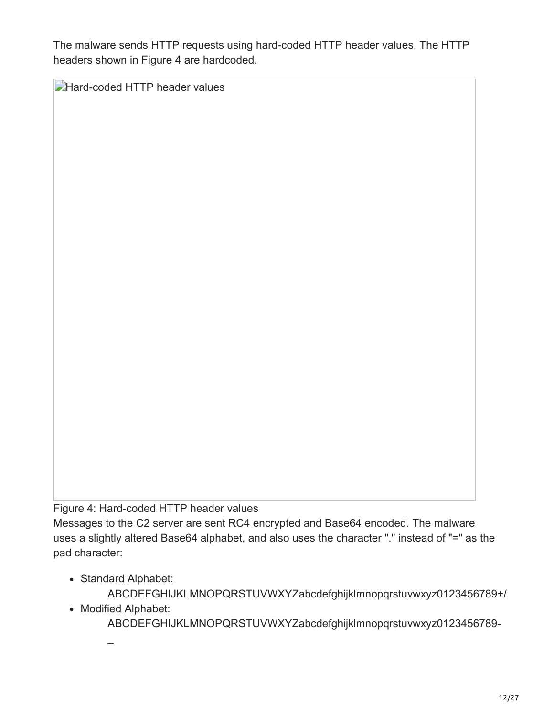The malware sends HTTP requests using hard-coded HTTP header values. The HTTP headers shown in Figure 4 are hardcoded.

**Hard-coded HTTP header values** 

Figure 4: Hard-coded HTTP header values

Messages to the C2 server are sent RC4 encrypted and Base64 encoded. The malware uses a slightly altered Base64 alphabet, and also uses the character "." instead of "=" as the pad character:

• Standard Alphabet:

ABCDEFGHIJKLMNOPQRSTUVWXYZabcdefghijklmnopqrstuvwxyz0123456789+/

• Modified Alphabet:

ABCDEFGHIJKLMNOPQRSTUVWXYZabcdefghijklmnopqrstuvwxyz0123456789-

 $\overline{a}$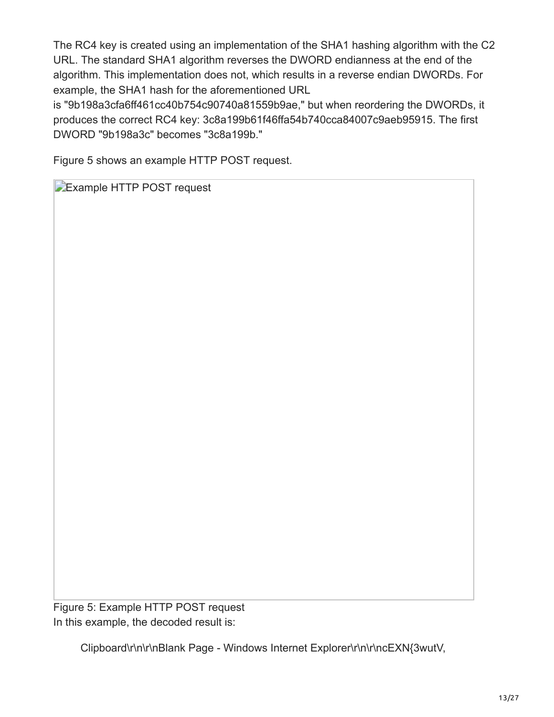The RC4 key is created using an implementation of the SHA1 hashing algorithm with the C2 URL. The standard SHA1 algorithm reverses the DWORD endianness at the end of the algorithm. This implementation does not, which results in a reverse endian DWORDs. For example, the SHA1 hash for the aforementioned URL

is "9b198a3cfa6ff461cc40b754c90740a81559b9ae," but when reordering the DWORDs, it produces the correct RC4 key: 3c8a199b61f46ffa54b740cca84007c9aeb95915. The first DWORD "9b198a3c" becomes "3c8a199b."

Figure 5 shows an example HTTP POST request.

**Example HTTP POST request** 

Figure 5: Example HTTP POST request In this example, the decoded result is:

Clipboard\r\n\r\nBlank Page - Windows Internet Explorer\r\n\r\ncEXN{3wutV,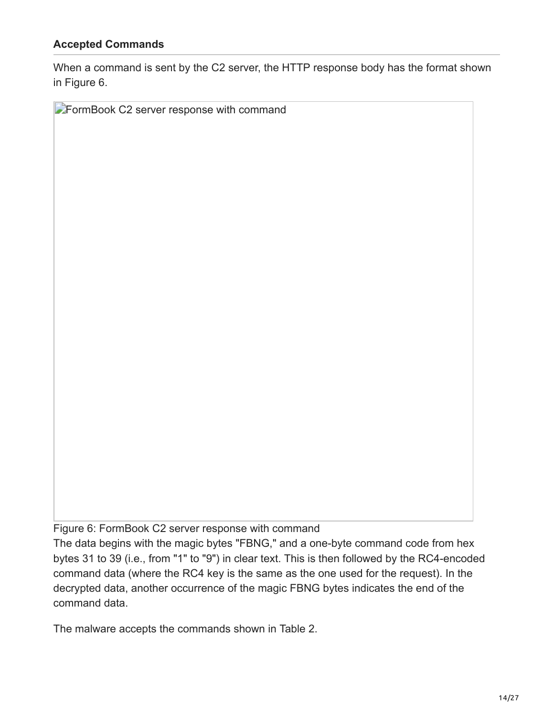#### **Accepted Commands**

When a command is sent by the C2 server, the HTTP response body has the format shown in Figure 6.

**FormBook C2 server response with command** 

Figure 6: FormBook C2 server response with command

The data begins with the magic bytes "FBNG," and a one-byte command code from hex bytes 31 to 39 (i.e., from "1" to "9") in clear text. This is then followed by the RC4-encoded command data (where the RC4 key is the same as the one used for the request). In the decrypted data, another occurrence of the magic FBNG bytes indicates the end of the command data.

The malware accepts the commands shown in Table 2.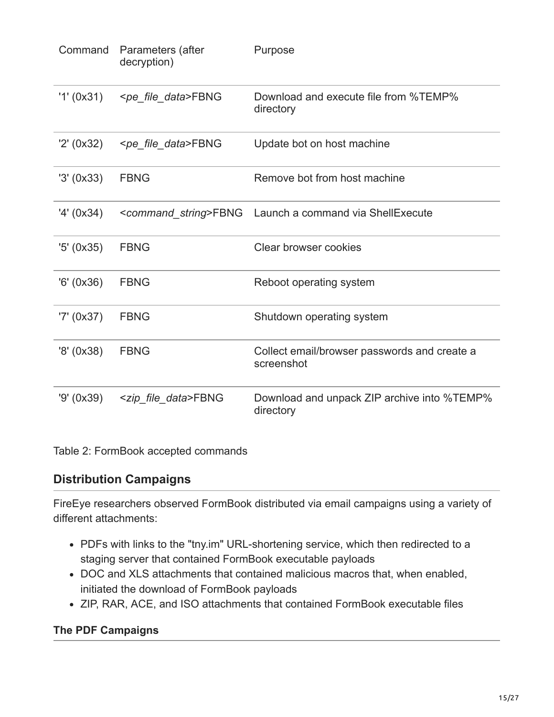| Command    | Parameters (after<br>decryption)      | Purpose                                                    |
|------------|---------------------------------------|------------------------------------------------------------|
| '1' (0x31) | <pe_file_data>FBNG</pe_file_data>     | Download and execute file from %TEMP%<br>directory         |
| '2' (0x32) | <pe_file_data>FBNG</pe_file_data>     | Update bot on host machine                                 |
| '3' (0x33) | <b>FBNG</b>                           | Remove bot from host machine                               |
| '4' (0x34) | <command_string>FBNG</command_string> | Launch a command via ShellExecute                          |
| '5' (0x35) | <b>FBNG</b>                           | <b>Clear browser cookies</b>                               |
| '6' (0x36) | <b>FBNG</b>                           | Reboot operating system                                    |
| '7' (0x37) | <b>FBNG</b>                           | Shutdown operating system                                  |
| '8' (0x38) | <b>FBNG</b>                           | Collect email/browser passwords and create a<br>screenshot |
| '9' (0x39) | <zip_file_data>FBNG</zip_file_data>   | Download and unpack ZIP archive into %TEMP%<br>directory   |

Table 2: FormBook accepted commands

# **Distribution Campaigns**

FireEye researchers observed FormBook distributed via email campaigns using a variety of different attachments:

- PDFs with links to the "tny.im" URL-shortening service, which then redirected to a staging server that contained FormBook executable payloads
- DOC and XLS attachments that contained malicious macros that, when enabled, initiated the download of FormBook payloads
- ZIP, RAR, ACE, and ISO attachments that contained FormBook executable files

#### **The PDF Campaigns**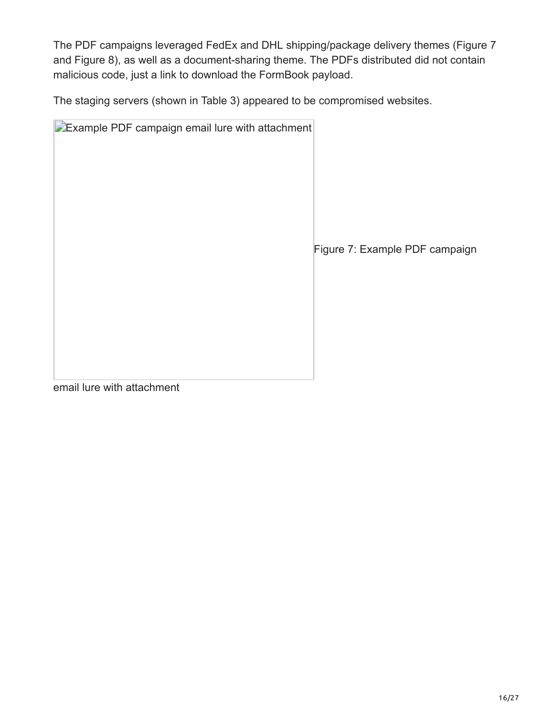The PDF campaigns leveraged FedEx and DHL shipping/package delivery themes (Figure 7 and Figure 8), as well as a document-sharing theme. The PDFs distributed did not contain malicious code, just a link to download the FormBook payload.

The staging servers (shown in Table 3) appeared to be compromised websites.

| <b>Example PDF campaign email lure with attachment</b> |          |
|--------------------------------------------------------|----------|
|                                                        |          |
|                                                        |          |
|                                                        |          |
|                                                        |          |
|                                                        |          |
|                                                        |          |
|                                                        | Figure 7 |
|                                                        |          |
|                                                        |          |
|                                                        |          |
|                                                        |          |
|                                                        |          |
|                                                        |          |
|                                                        |          |

7: Example PDF campaign

email lure with attachment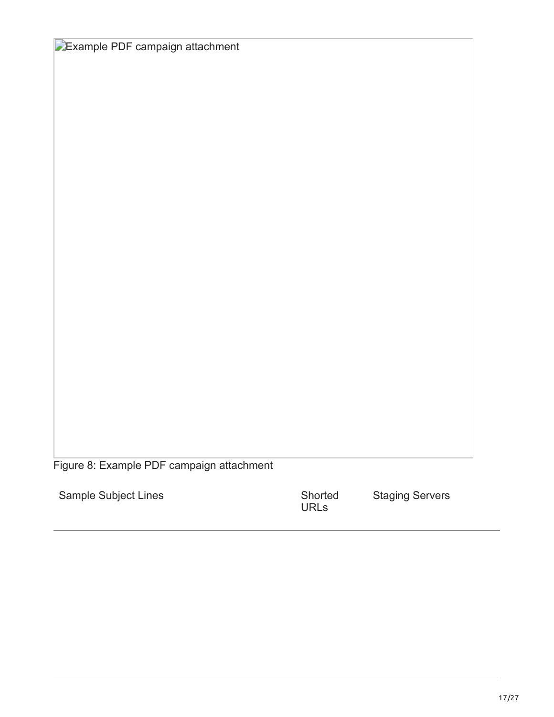Example PDF campaign attachment

Figure 8: Example PDF campaign attachment

Sample Subject Lines Shorted

URLs

Staging Servers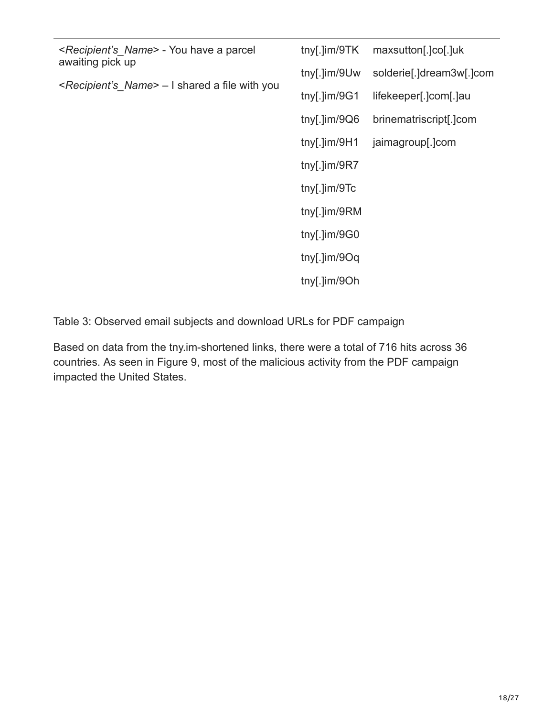| awaiting pick up | <recipient's_name> - You have a parcel</recipient's_name>        | tny[. $\lim/9TK$ | maxsutton[.]co[.]uk      |
|------------------|------------------------------------------------------------------|------------------|--------------------------|
|                  |                                                                  | tny[.]im/9Uw     | solderie[.]dream3w[.]com |
|                  | <recipient's_name> - I shared a file with you</recipient's_name> | tny[. $\lim/9G1$ | lifekeeper[.]com[.]au    |
|                  |                                                                  | tny[. $\lim/9Q6$ | brinematriscript[.]com   |
|                  |                                                                  | tny[.] $im/9H1$  | jaimagroup[.]com         |
|                  |                                                                  | tny[.]im/9R7     |                          |
|                  |                                                                  | tny[.]im/9Tc     |                          |
|                  |                                                                  | tny[.]im/9RM     |                          |
|                  |                                                                  | tny[.]im/9G0     |                          |
|                  |                                                                  | tny[.]im/9Oq     |                          |
|                  |                                                                  | tny[.]im/90h     |                          |
|                  |                                                                  |                  |                          |

Table 3: Observed email subjects and download URLs for PDF campaign

Based on data from the tny.im-shortened links, there were a total of 716 hits across 36 countries. As seen in Figure 9, most of the malicious activity from the PDF campaign impacted the United States.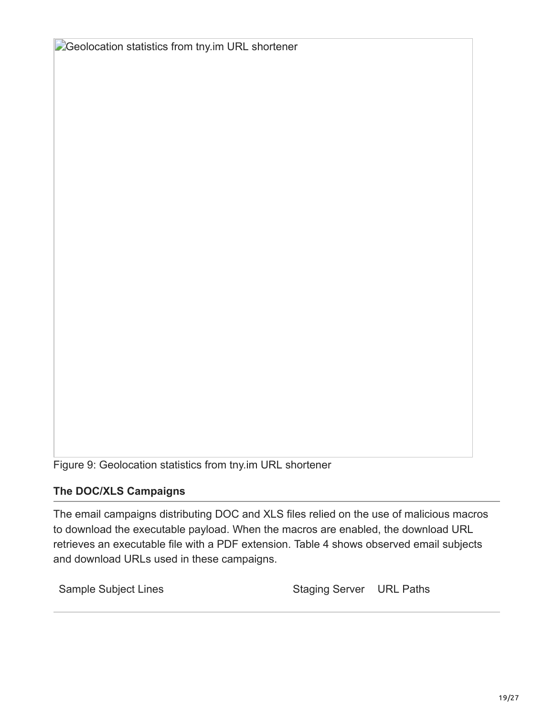Geolocation statistics from tny.im URL shortener

Figure 9: Geolocation statistics from tny.im URL shortener

#### **The DOC/XLS Campaigns**

The email campaigns distributing DOC and XLS files relied on the use of malicious macros to download the executable payload. When the macros are enabled, the download URL retrieves an executable file with a PDF extension. Table 4 shows observed email subjects and download URLs used in these campaigns.

Sample Subject Lines Staging Server URL Paths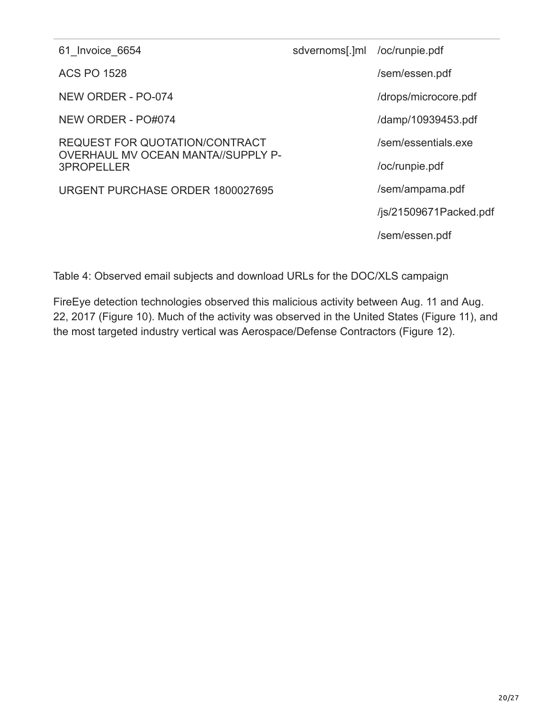61\_Invoice\_6654 ACS PO 1528 NEW ORDER - PO-074 NEW ORDER - PO#074 REQUEST FOR QUOTATION/CONTRACT OVERHAUL MV OCEAN MANTA//SUPPLY P-3PROPELLER URGENT PURCHASE ORDER 1800027695

sdvernoms[.]ml /oc/runpie.pdf /sem/essen.pdf /drops/microcore.pdf /damp/10939453.pdf /sem/essentials.exe /oc/runpie.pdf /sem/ampama.pdf /js/21509671Packed.pdf /sem/essen.pdf

Table 4: Observed email subjects and download URLs for the DOC/XLS campaign

FireEye detection technologies observed this malicious activity between Aug. 11 and Aug. 22, 2017 (Figure 10). Much of the activity was observed in the United States (Figure 11), and the most targeted industry vertical was Aerospace/Defense Contractors (Figure 12).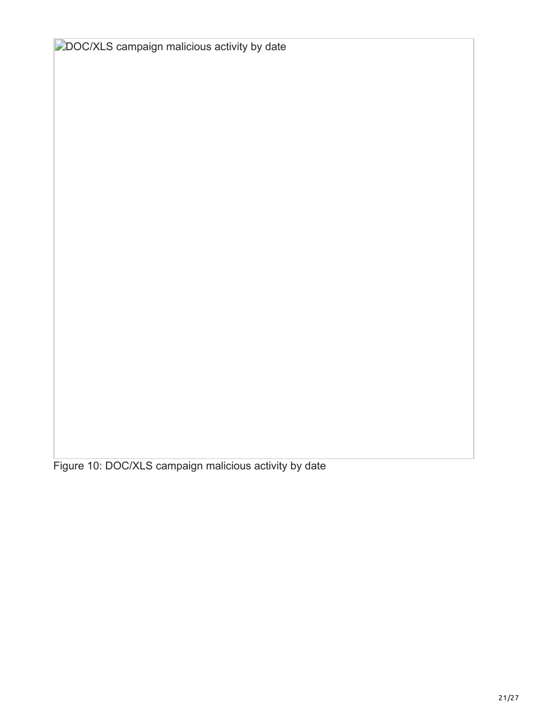**DOC/XLS campaign malicious activity by date** 

Figure 10: DOC/XLS campaign malicious activity by date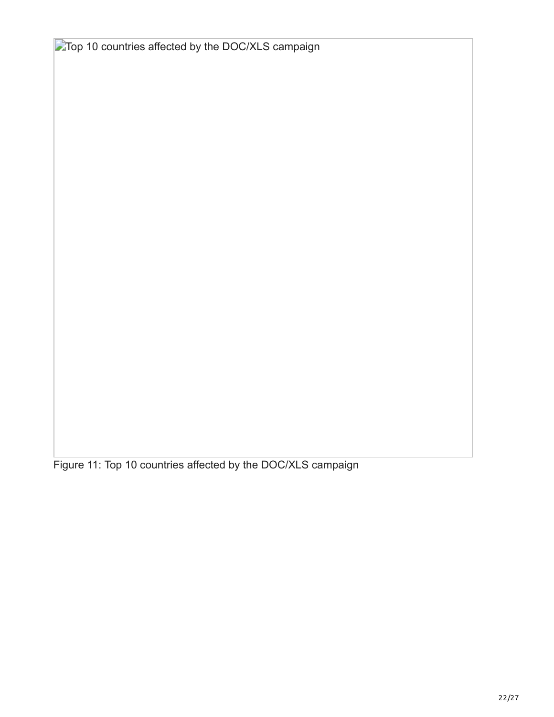Top 10 countries affected by the DOC/XLS campaign

Figure 11: Top 10 countries affected by the DOC/XLS campaign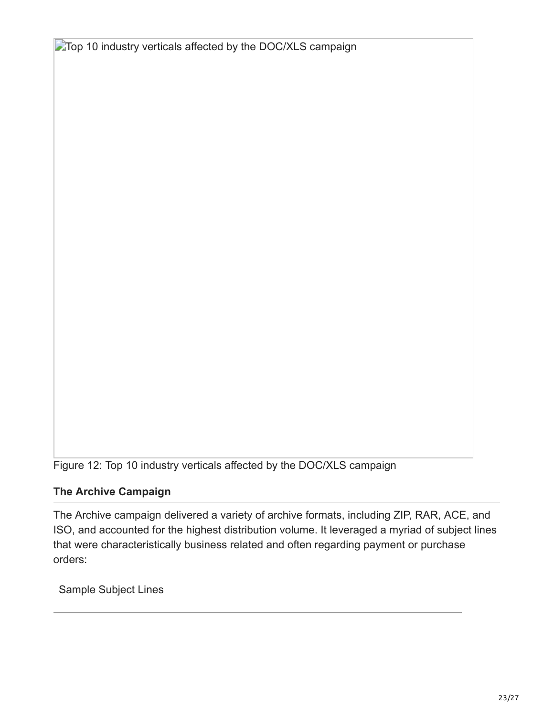Top 10 industry verticals affected by the DOC/XLS campaign

Figure 12: Top 10 industry verticals affected by the DOC/XLS campaign

## **The Archive Campaign**

The Archive campaign delivered a variety of archive formats, including ZIP, RAR, ACE, and ISO, and accounted for the highest distribution volume. It leveraged a myriad of subject lines that were characteristically business related and often regarding payment or purchase orders:

Sample Subject Lines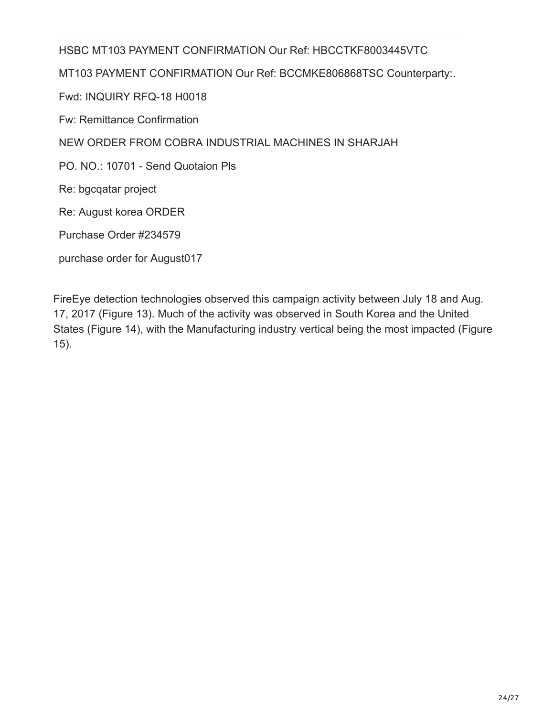#### HSBC MT103 PAYMENT CONFIRMATION Our Ref: HBCCTKF8003445VTC

MT103 PAYMENT CONFIRMATION Our Ref: BCCMKE806868TSC Counterparty:.

Fwd: INQUIRY RFQ-18 H0018

Fw: Remittance Confirmation

NEW ORDER FROM COBRA INDUSTRIAL MACHINES IN SHARJAH

PO. NO.: 10701 - Send Quotaion Pls

Re: bgcqatar project

Re: August korea ORDER

Purchase Order #234579

purchase order for August017

FireEye detection technologies observed this campaign activity between July 18 and Aug. 17, 2017 (Figure 13). Much of the activity was observed in South Korea and the United States (Figure 14), with the Manufacturing industry vertical being the most impacted (Figure 15).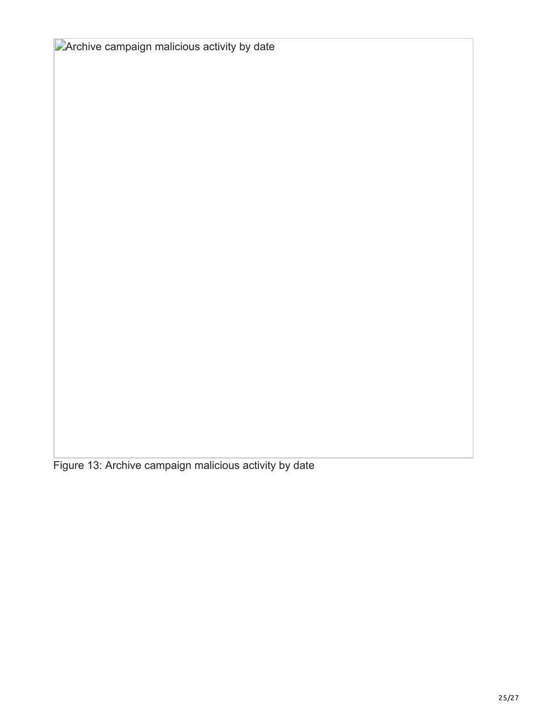**Archive campaign malicious activity by date** 

Figure 13: Archive campaign malicious activity by date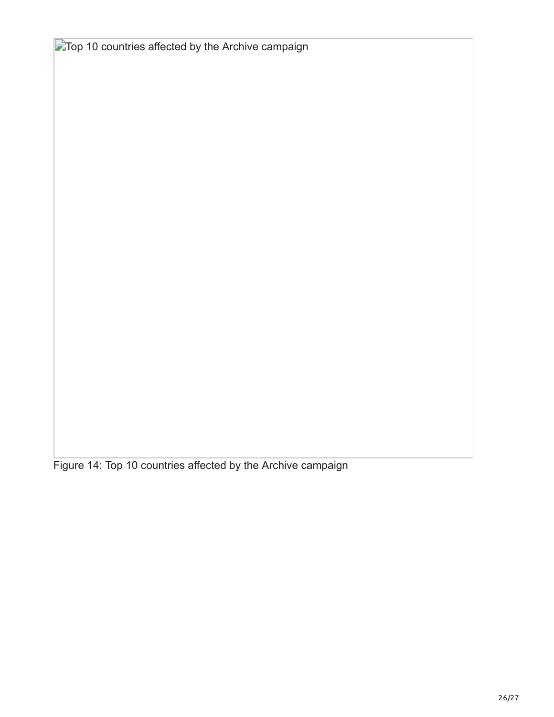**Top 10 countries affected by the Archive campaign** 

Figure 14: Top 10 countries affected by the Archive campaign